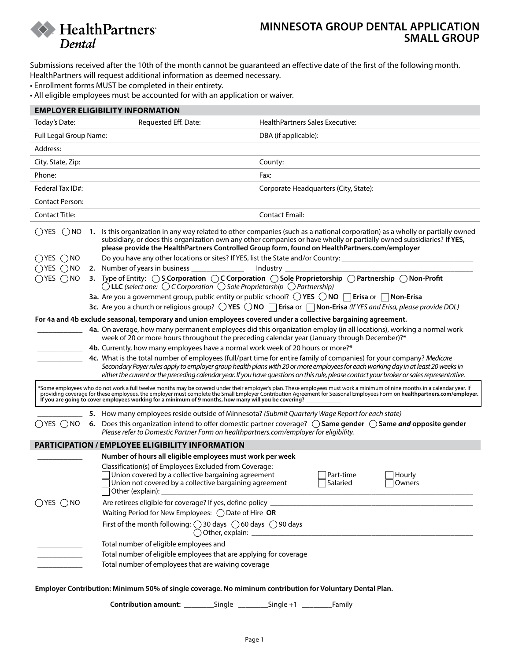

## **MINNESOTA GROUP DENTAL APPLICATION SMALL GROUP**

Submissions received after the 10th of the month cannot be guaranteed an effective date of the first of the following month. HealthPartners will request additional information as deemed necessary.

- Enrollment forms MUST be completed in their entirety.
- All eligible employees must be accounted for with an application or waiver.

| <b>EMPLOYER ELIGIBILITY INFORMATION</b>                                                                                                                                                                                                                                                                                                                                                                                                                         |                                                                                                                                                                                            |                                                                                                                                                                                                                                                                                                                                                                                                         |  |
|-----------------------------------------------------------------------------------------------------------------------------------------------------------------------------------------------------------------------------------------------------------------------------------------------------------------------------------------------------------------------------------------------------------------------------------------------------------------|--------------------------------------------------------------------------------------------------------------------------------------------------------------------------------------------|---------------------------------------------------------------------------------------------------------------------------------------------------------------------------------------------------------------------------------------------------------------------------------------------------------------------------------------------------------------------------------------------------------|--|
| Today's Date:                                                                                                                                                                                                                                                                                                                                                                                                                                                   | Requested Eff. Date:                                                                                                                                                                       | HealthPartners Sales Executive:                                                                                                                                                                                                                                                                                                                                                                         |  |
| Full Legal Group Name:                                                                                                                                                                                                                                                                                                                                                                                                                                          |                                                                                                                                                                                            | DBA (if applicable):                                                                                                                                                                                                                                                                                                                                                                                    |  |
| Address:                                                                                                                                                                                                                                                                                                                                                                                                                                                        |                                                                                                                                                                                            |                                                                                                                                                                                                                                                                                                                                                                                                         |  |
| City, State, Zip:                                                                                                                                                                                                                                                                                                                                                                                                                                               |                                                                                                                                                                                            | County:                                                                                                                                                                                                                                                                                                                                                                                                 |  |
| Phone:                                                                                                                                                                                                                                                                                                                                                                                                                                                          |                                                                                                                                                                                            | Fax:                                                                                                                                                                                                                                                                                                                                                                                                    |  |
| Federal Tax ID#:                                                                                                                                                                                                                                                                                                                                                                                                                                                |                                                                                                                                                                                            | Corporate Headquarters (City, State):                                                                                                                                                                                                                                                                                                                                                                   |  |
| <b>Contact Person:</b>                                                                                                                                                                                                                                                                                                                                                                                                                                          |                                                                                                                                                                                            |                                                                                                                                                                                                                                                                                                                                                                                                         |  |
| <b>Contact Title:</b>                                                                                                                                                                                                                                                                                                                                                                                                                                           |                                                                                                                                                                                            | <b>Contact Email:</b>                                                                                                                                                                                                                                                                                                                                                                                   |  |
| ◯ YES<br>()NO                                                                                                                                                                                                                                                                                                                                                                                                                                                   |                                                                                                                                                                                            | 1. Is this organization in any way related to other companies (such as a national corporation) as a wholly or partially owned<br>subsidiary, or does this organization own any other companies or have wholly or partially owned subsidiaries? If YES,<br>please provide the HealthPartners Controlled Group form, found on HealthPartners.com/employer                                                 |  |
| $\bigcirc$ yes $\bigcirc$ no                                                                                                                                                                                                                                                                                                                                                                                                                                    |                                                                                                                                                                                            | Do you have any other locations or sites? If YES, list the State and/or Country: ___________________                                                                                                                                                                                                                                                                                                    |  |
| $\bigcirc$ yes $\bigcirc$ no                                                                                                                                                                                                                                                                                                                                                                                                                                    | 2. Number of years in business ______________                                                                                                                                              | Industry _                                                                                                                                                                                                                                                                                                                                                                                              |  |
| $\bigcirc$ yes $\bigcirc$ no                                                                                                                                                                                                                                                                                                                                                                                                                                    | $\bigcirc$ LLC (select one: $\bigcirc$ C Corporation $\bigcirc$ Sole Proprietorship $\bigcirc$ Partnership)                                                                                | 3. Type of Entity:  OS Corporation  OC Corporation    C Sole Proprietorship  C Partnership   C Non-Profit                                                                                                                                                                                                                                                                                               |  |
|                                                                                                                                                                                                                                                                                                                                                                                                                                                                 |                                                                                                                                                                                            | <b>3a.</b> Are you a government group, public entity or public school? $\bigcirc$ YES $\bigcirc$ NO $\bigcap$ Erisa or $\bigcap$ Non-Erisa                                                                                                                                                                                                                                                              |  |
|                                                                                                                                                                                                                                                                                                                                                                                                                                                                 |                                                                                                                                                                                            | 3c. Are you a church or religious group? $\bigcirc$ YES $\bigcirc$ NO $\Box$ Erisa or $\Box$ Non-Erisa (If YES and Erisa, please provide DOL)                                                                                                                                                                                                                                                           |  |
| For 4a and 4b exclude seasonal, temporary and union employees covered under a collective bargaining agreement.                                                                                                                                                                                                                                                                                                                                                  |                                                                                                                                                                                            |                                                                                                                                                                                                                                                                                                                                                                                                         |  |
|                                                                                                                                                                                                                                                                                                                                                                                                                                                                 | week of 20 or more hours throughout the preceding calendar year (January through December)?*                                                                                               | 4a. On average, how many permanent employees did this organization employ (in all locations), working a normal work                                                                                                                                                                                                                                                                                     |  |
|                                                                                                                                                                                                                                                                                                                                                                                                                                                                 | 4b. Currently, how many employees have a normal work week of 20 hours or more?*                                                                                                            |                                                                                                                                                                                                                                                                                                                                                                                                         |  |
|                                                                                                                                                                                                                                                                                                                                                                                                                                                                 |                                                                                                                                                                                            | 4c. What is the total number of employees (full/part time for entire family of companies) for your company? Medicare<br>Secondary Payer rules apply to employer group health plans with 20 or more employees for each working day in at least 20 weeks in<br>either the current or the preceding calendar year. If you have questions on this rule, please contact your broker or sales representative. |  |
| *Some employees who do not work a full twelve months may be covered under their employer's plan. These employees must work a minimum of nine months in a calendar year. If<br>providing coverage for these employees, the employer must complete the Small Employer Contribution Agreement for Seasonal Employees Form on healthpartners.com/employer.<br>If you are going to cover employees working for a minimum of 9 months, how many will you be covering? |                                                                                                                                                                                            |                                                                                                                                                                                                                                                                                                                                                                                                         |  |
|                                                                                                                                                                                                                                                                                                                                                                                                                                                                 | 5. How many employees reside outside of Minnesota? (Submit Quarterly Wage Report for each state)                                                                                           |                                                                                                                                                                                                                                                                                                                                                                                                         |  |
| $\bigcirc$ yes $\bigcirc$ no                                                                                                                                                                                                                                                                                                                                                                                                                                    | Please refer to Domestic Partner Form on healthpartners.com/employer for eligibility.                                                                                                      | 6. Does this organization intend to offer domestic partner coverage? (Same gender (Same and opposite gender                                                                                                                                                                                                                                                                                             |  |
|                                                                                                                                                                                                                                                                                                                                                                                                                                                                 | <b>PARTICIPATION / EMPLOYEE ELIGIBILITY INFORMATION</b>                                                                                                                                    |                                                                                                                                                                                                                                                                                                                                                                                                         |  |
|                                                                                                                                                                                                                                                                                                                                                                                                                                                                 | Number of hours all eligible employees must work per week                                                                                                                                  |                                                                                                                                                                                                                                                                                                                                                                                                         |  |
|                                                                                                                                                                                                                                                                                                                                                                                                                                                                 | Classification(s) of Employees Excluded from Coverage:<br>Union covered by a collective bargaining agreement<br>Union not covered by a collective bargaining agreement<br>Other (explain): | Part-time<br>Hourly<br>Salaried<br>Owners                                                                                                                                                                                                                                                                                                                                                               |  |
| $\bigcirc$ YES $\bigcirc$ NO                                                                                                                                                                                                                                                                                                                                                                                                                                    | Are retirees eligible for coverage? If yes, define policy _                                                                                                                                |                                                                                                                                                                                                                                                                                                                                                                                                         |  |
|                                                                                                                                                                                                                                                                                                                                                                                                                                                                 | Waiting Period for New Employees: ( ) Date of Hire OR                                                                                                                                      |                                                                                                                                                                                                                                                                                                                                                                                                         |  |
|                                                                                                                                                                                                                                                                                                                                                                                                                                                                 | First of the month following: $\bigcirc$ 30 days $\bigcirc$ 60 days $\bigcirc$ 90 days<br>$\bigcirc$ Other, explain:                                                                       |                                                                                                                                                                                                                                                                                                                                                                                                         |  |
|                                                                                                                                                                                                                                                                                                                                                                                                                                                                 | Total number of eligible employees and                                                                                                                                                     |                                                                                                                                                                                                                                                                                                                                                                                                         |  |
|                                                                                                                                                                                                                                                                                                                                                                                                                                                                 | Total number of eligible employees that are applying for coverage                                                                                                                          |                                                                                                                                                                                                                                                                                                                                                                                                         |  |
|                                                                                                                                                                                                                                                                                                                                                                                                                                                                 | Total number of employees that are waiving coverage                                                                                                                                        |                                                                                                                                                                                                                                                                                                                                                                                                         |  |

**Employer Contribution: Minimum 50% of single coverage. No miminum contribution for Voluntary Dental Plan.** 

**Contribution amount:** \_\_\_\_\_\_\_\_Single \_\_\_\_\_\_\_\_Single +1 \_\_\_\_\_\_\_\_Family